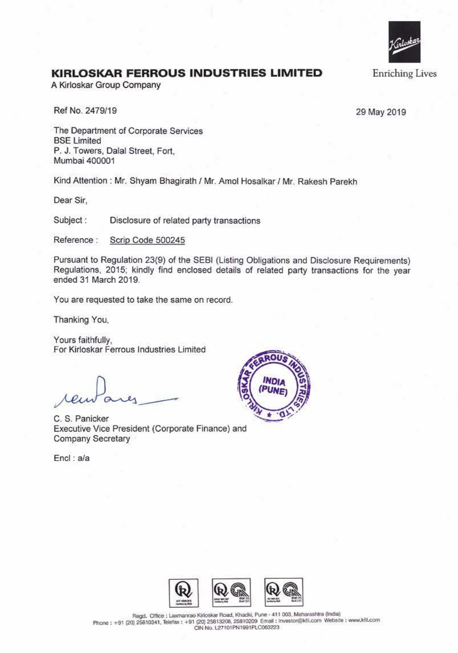

## **KIRLOSKAR FERROUS INDUSTRIES LIMITED**

A Kirloskar Group Company

Ref No. 2479/19

29 May 2019

The Department of Corporate Services BSE Limited P. J. Towers, Dalal Street, Fort, Mumbai 400001

Kind Attention : Mr. Shyam Bhagirath / Mr. Amol Hosalkar / Mr. Rakesh Parekh

Dear Sir,

Subject : Disclosure of related party transactions

Reference : Scrip Code 500245

Pursuant to Regulation 23(9) of the SEBI (Listing Obligations and Disclosure Requirements) Regulations, 2015; kindly find enclosed details of related party transactions for the year ended 31 March 2019.

You are requested to take the same on record.

Thanking You,

Yours faithfully, For Kirloskar Ferrous Industries Limited

C. S. Panicker Executive Vice President (Corporate Finance) and Company Secretary

Encl : a/a





Regd. Office: Laxmanrao Kirloskar Road, Khadki, Pune - 411 003, Maharashtra (India) **Phone: +91 (20) 25810341, Telefax: +91 (20) 25813208, 25810209 Email : Investor@kfil.com Website: www.kfil.com CIN N(). \27101PN1991PlC063223**